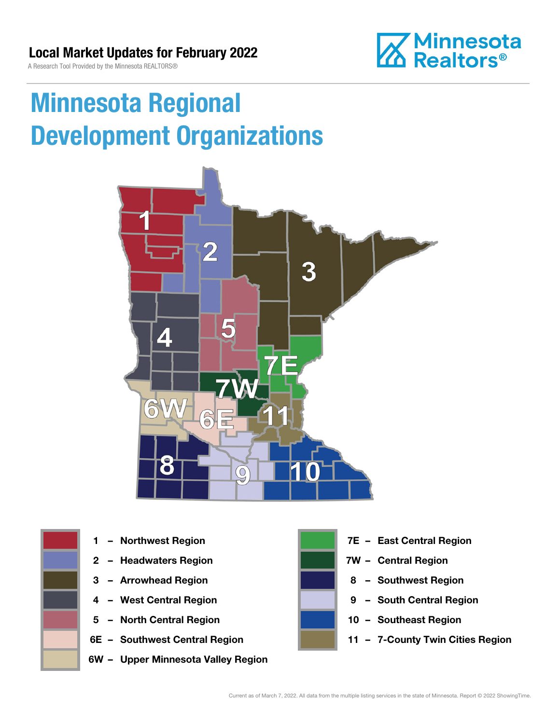**Minnesota**<br>**M** Realtors®

A Research Tool Provided by the Minnesota REALTORS®

# Minnesota Regional Development Organizations





- 
- 2 Headwaters Region **1988 7W Central Region**
- 
- 
- 5 North Central Region 10 Southeast Region
- 
- 6W Upper Minnesota Valley Region



- 1 Northwest Region **1 1999 12 Property Contral Region** 
	-
- 3 Arrowhead Region **8 Southwest Region**
- 4 West Central Region **19 South Central Region** 
	-
- 6E Southwest Central Region **11 7-County Twin Cities Region**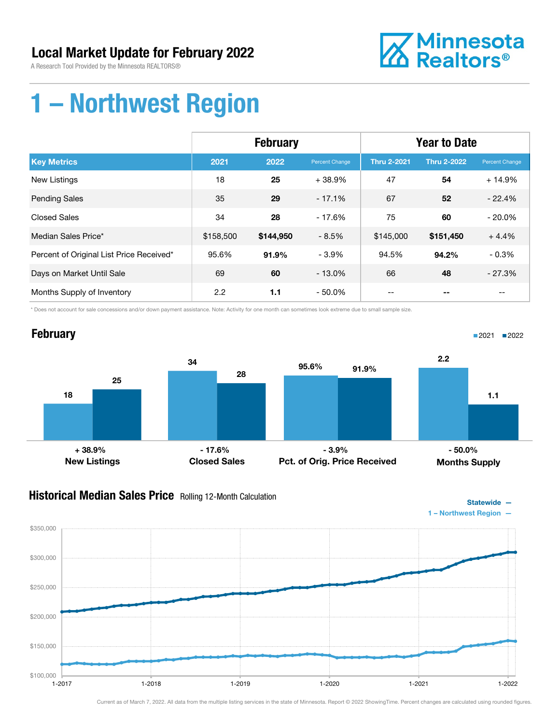A Research Tool Provided by the Minnesota REALTORS®



# 1 – Northwest Region

|                                          | <b>February</b> |           |                | <b>Year to Date</b> |                    |                |
|------------------------------------------|-----------------|-----------|----------------|---------------------|--------------------|----------------|
| <b>Key Metrics</b>                       | 2021            | 2022      | Percent Change | <b>Thru 2-2021</b>  | <b>Thru 2-2022</b> | Percent Change |
| <b>New Listings</b>                      | 18              | 25        | $+38.9%$       | 47                  | 54                 | $+14.9%$       |
| <b>Pending Sales</b>                     | 35              | 29        | $-17.1%$       | 67                  | 52                 | $-22.4%$       |
| <b>Closed Sales</b>                      | 34              | 28        | $-17.6%$       | 75                  | 60                 | $-20.0\%$      |
| Median Sales Price*                      | \$158,500       | \$144,950 | $-8.5%$        | \$145,000           | \$151,450          | $+4.4%$        |
| Percent of Original List Price Received* | 95.6%           | 91.9%     | $-3.9%$        | 94.5%               | 94.2%              | $-0.3%$        |
| Days on Market Until Sale                | 69              | 60        | $-13.0%$       | 66                  | 48                 | $-27.3%$       |
| Months Supply of Inventory               | 2.2             | 1.1       | $-50.0\%$      |                     |                    | --             |

\* Does not account for sale concessions and/or down payment assistance. Note: Activity for one month can sometimes look extreme due to small sample size.

#### **February** 18 34 25 28 New Listings Closed Sales 95.6% 91.9% Pct. of Orig. Price Received 2.2 1.1 Months Supply ■2021 2022  $+38.9\%$  - 17.6% - 3.9% - 3.9% - 50.0%

### **Historical Median Sales Price** Rolling 12-Month Calculation

 $$100,000$  - 1-2017

\$150,000

\$200,000

\$250,000

\$300,000

\$350,000



Current as of March 7, 2022. All data from the multiple listing services in the state of Minnesota. Report © 2022 ShowingTime. Percent changes are calculated using rounded figures.

1-2017 1-2018 1-2019 1-2020 1-2021 1-2022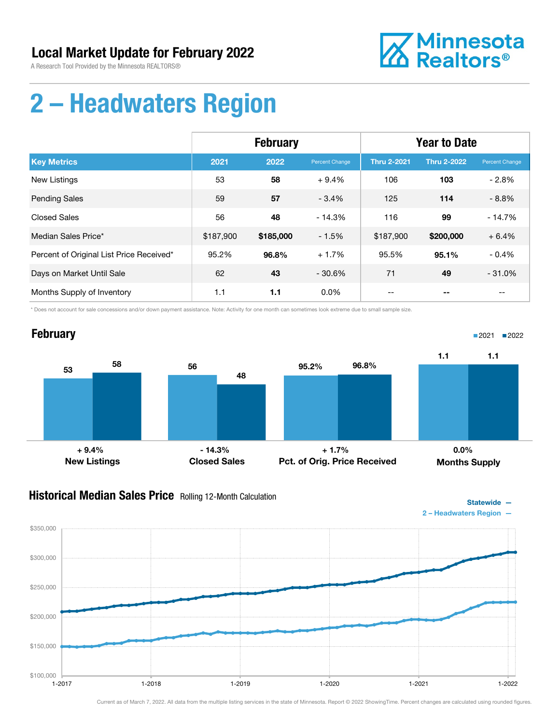

Statewide —

# 2 – Headwaters Region

|                                          | <b>February</b> |           |                | <b>Year to Date</b> |                    |                |
|------------------------------------------|-----------------|-----------|----------------|---------------------|--------------------|----------------|
| <b>Key Metrics</b>                       | 2021            | 2022      | Percent Change | <b>Thru 2-2021</b>  | <b>Thru 2-2022</b> | Percent Change |
| <b>New Listings</b>                      | 53              | 58        | $+9.4%$        | 106                 | 103                | $-2.8%$        |
| <b>Pending Sales</b>                     | 59              | 57        | $-3.4%$        | 125                 | 114                | $-8.8%$        |
| <b>Closed Sales</b>                      | 56              | 48        | $-14.3%$       | 116                 | 99                 | $-14.7%$       |
| Median Sales Price*                      | \$187,900       | \$185,000 | $-1.5%$        | \$187,900           | \$200,000          | $+6.4%$        |
| Percent of Original List Price Received* | 95.2%           | 96.8%     | $+1.7%$        | 95.5%               | 95.1%              | $-0.4%$        |
| Days on Market Until Sale                | 62              | 43        | $-30.6%$       | 71                  | 49                 | $-31.0%$       |
| Months Supply of Inventory               | 1.1             | 1.1       | $0.0\%$        |                     |                    | --             |

\* Does not account for sale concessions and/or down payment assistance. Note: Activity for one month can sometimes look extreme due to small sample size.



### **Historical Median Sales Price** Rolling 12-Month Calculation

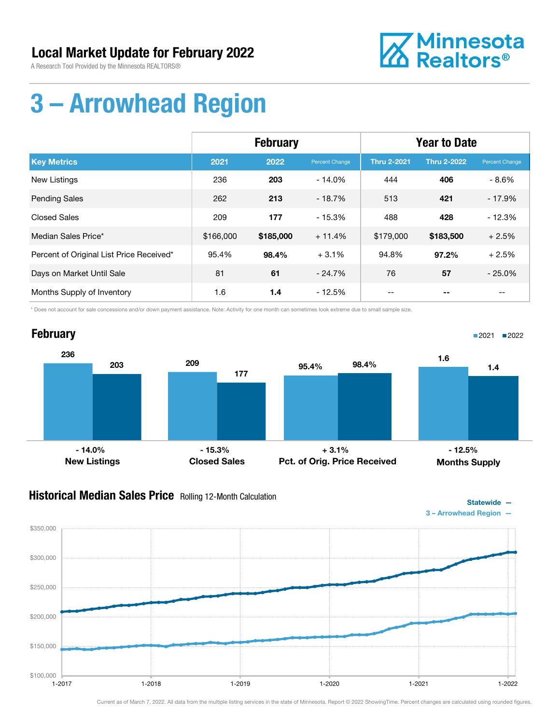A Research Tool Provided by the Minnesota REALTORS®



# 3 – Arrowhead Region

|                                          | <b>February</b> |           |                | <b>Year to Date</b> |                    |                       |
|------------------------------------------|-----------------|-----------|----------------|---------------------|--------------------|-----------------------|
| <b>Key Metrics</b>                       | 2021            | 2022      | Percent Change | <b>Thru 2-2021</b>  | <b>Thru 2-2022</b> | <b>Percent Change</b> |
| New Listings                             | 236             | 203       | $-14.0\%$      | 444                 | 406                | $-8.6%$               |
| <b>Pending Sales</b>                     | 262             | 213       | $-18.7%$       | 513                 | 421                | $-17.9%$              |
| <b>Closed Sales</b>                      | 209             | 177       | $-15.3%$       | 488                 | 428                | $-12.3%$              |
| Median Sales Price*                      | \$166,000       | \$185,000 | $+11.4%$       | \$179,000           | \$183,500          | $+2.5%$               |
| Percent of Original List Price Received* | 95.4%           | 98.4%     | $+3.1%$        | 94.8%               | 97.2%              | $+2.5%$               |
| Days on Market Until Sale                | 81              | 61        | $-24.7%$       | 76                  | 57                 | $-25.0%$              |
| Months Supply of Inventory               | 1.6             | 1.4       | $-12.5%$       | --                  |                    | --                    |

\* Does not account for sale concessions and/or down payment assistance. Note: Activity for one month can sometimes look extreme due to small sample size.



### **Historical Median Sales Price** Rolling 12-Month Calculation



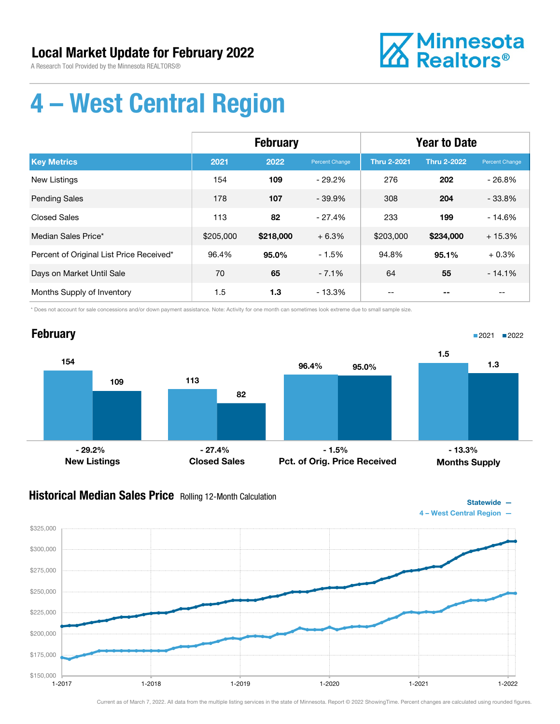A Research Tool Provided by the Minnesota REALTORS®



Statewide —

# 4 – West Central Region

|                                          | <b>February</b> |           |                | <b>Year to Date</b> |                    |                |
|------------------------------------------|-----------------|-----------|----------------|---------------------|--------------------|----------------|
| <b>Key Metrics</b>                       | 2021            | 2022      | Percent Change | <b>Thru 2-2021</b>  | <b>Thru 2-2022</b> | Percent Change |
| New Listings                             | 154             | 109       | $-29.2\%$      | 276                 | 202                | $-26.8%$       |
| <b>Pending Sales</b>                     | 178             | 107       | $-39.9\%$      | 308                 | 204                | $-33.8%$       |
| <b>Closed Sales</b>                      | 113             | 82        | $-27.4%$       | 233                 | 199                | $-14.6%$       |
| Median Sales Price*                      | \$205,000       | \$218,000 | $+6.3%$        | \$203,000           | \$234,000          | $+15.3%$       |
| Percent of Original List Price Received* | 96.4%           | 95.0%     | $-1.5%$        | 94.8%               | 95.1%              | $+0.3%$        |
| Days on Market Until Sale                | 70              | 65        | $-7.1%$        | 64                  | 55                 | $-14.1%$       |
| Months Supply of Inventory               | 1.5             | 1.3       | - 13.3%        |                     |                    | --             |

\* Does not account for sale concessions and/or down payment assistance. Note: Activity for one month can sometimes look extreme due to small sample size.



### **Historical Median Sales Price** Rolling 12-Month Calculation

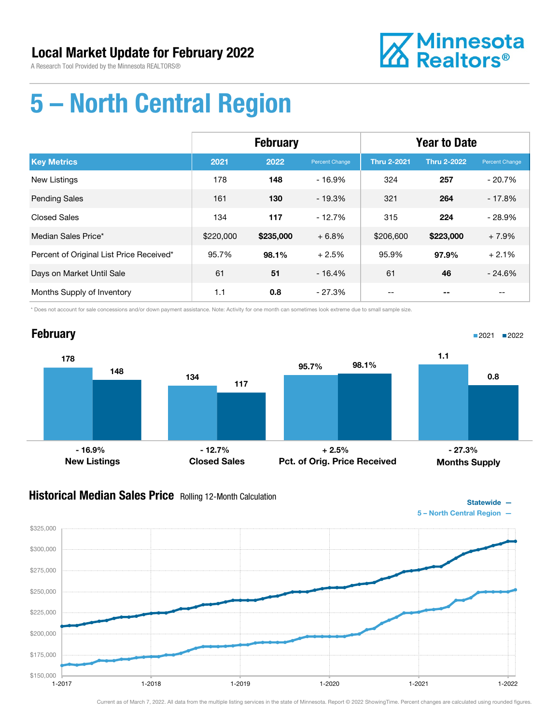

# 5 – North Central Region

|                                          | <b>February</b> |           |                | <b>Year to Date</b> |                    |                |
|------------------------------------------|-----------------|-----------|----------------|---------------------|--------------------|----------------|
| <b>Key Metrics</b>                       | 2021            | 2022      | Percent Change | <b>Thru 2-2021</b>  | <b>Thru 2-2022</b> | Percent Change |
| <b>New Listings</b>                      | 178             | 148       | $-16.9%$       | 324                 | 257                | $-20.7%$       |
| <b>Pending Sales</b>                     | 161             | 130       | $-19.3%$       | 321                 | 264                | $-17.8%$       |
| <b>Closed Sales</b>                      | 134             | 117       | $-12.7%$       | 315                 | 224                | $-28.9%$       |
| Median Sales Price*                      | \$220,000       | \$235,000 | $+6.8%$        | \$206,600           | \$223,000          | $+7.9%$        |
| Percent of Original List Price Received* | 95.7%           | 98.1%     | $+2.5%$        | 95.9%               | 97.9%              | $+2.1%$        |
| Days on Market Until Sale                | 61              | 51        | $-16.4%$       | 61                  | 46                 | $-24.6%$       |
| Months Supply of Inventory               | 1.1             | 0.8       | $-27.3\%$      |                     |                    |                |

\* Does not account for sale concessions and/or down payment assistance. Note: Activity for one month can sometimes look extreme due to small sample size.



### **Historical Median Sales Price** Rolling 12-Month Calculation

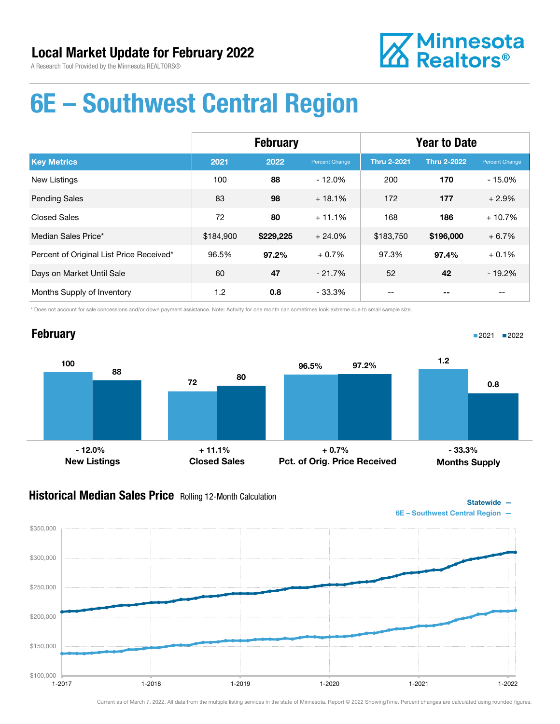

# 6E – Southwest Central Region

|                                          | <b>February</b> |           |                | <b>Year to Date</b> |                    |                |
|------------------------------------------|-----------------|-----------|----------------|---------------------|--------------------|----------------|
| <b>Key Metrics</b>                       | 2021            | 2022      | Percent Change | <b>Thru 2-2021</b>  | <b>Thru 2-2022</b> | Percent Change |
| <b>New Listings</b>                      | 100             | 88        | $-12.0%$       | 200                 | 170                | $-15.0%$       |
| <b>Pending Sales</b>                     | 83              | 98        | $+18.1%$       | 172                 | 177                | $+2.9%$        |
| <b>Closed Sales</b>                      | 72              | 80        | $+11.1%$       | 168                 | 186                | $+10.7%$       |
| Median Sales Price*                      | \$184,900       | \$229,225 | $+24.0%$       | \$183,750           | \$196,000          | $+6.7%$        |
| Percent of Original List Price Received* | 96.5%           | 97.2%     | $+0.7%$        | 97.3%               | 97.4%              | $+0.1%$        |
| Days on Market Until Sale                | 60              | 47        | $-21.7%$       | 52                  | 42                 | $-19.2%$       |
| Months Supply of Inventory               | 1.2             | 0.8       | $-33.3%$       |                     |                    |                |

\* Does not account for sale concessions and/or down payment assistance. Note: Activity for one month can sometimes look extreme due to small sample size.

### **February**

 $$100,000$  - 1-2017

\$150,000

\$200,000

\$250,000

\$300,000

\$350,000



#### **Historical Median Sales Price** Rolling 12-Month Calculation





■2021 ■2022

Current as of March 7, 2022. All data from the multiple listing services in the state of Minnesota. Report © 2022 ShowingTime. Percent changes are calculated using rounded figures.

1-2017 1-2018 1-2019 1-2020 1-2021 1-2022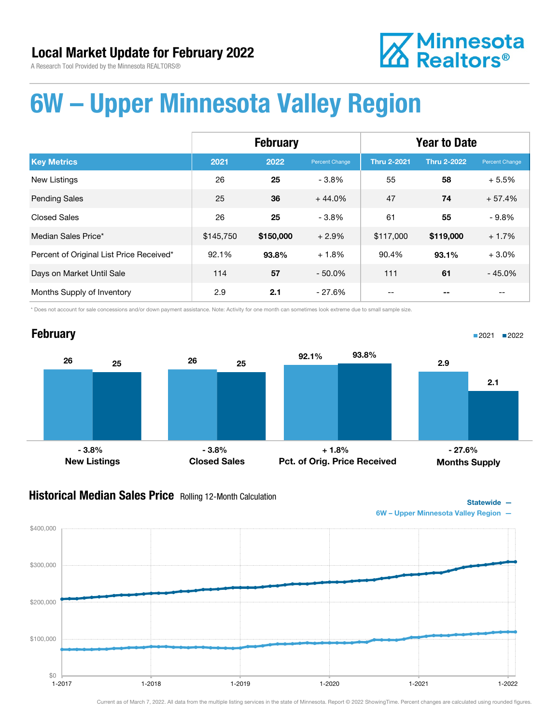

# **Z** Minnesota<br>**ZA** Realtors<sup>®</sup>

# 6W – Upper Minnesota Valley Region

|                                          | <b>February</b> |           |                | <b>Year to Date</b> |                    |                |
|------------------------------------------|-----------------|-----------|----------------|---------------------|--------------------|----------------|
| <b>Key Metrics</b>                       | 2021            | 2022      | Percent Change | <b>Thru 2-2021</b>  | <b>Thru 2-2022</b> | Percent Change |
| <b>New Listings</b>                      | 26              | 25        | $-3.8%$        | 55                  | 58                 | $+5.5%$        |
| <b>Pending Sales</b>                     | 25              | 36        | $+44.0%$       | 47                  | 74                 | $+57.4%$       |
| <b>Closed Sales</b>                      | 26              | 25        | $-3.8%$        | 61                  | 55                 | $-9.8%$        |
| Median Sales Price*                      | \$145,750       | \$150,000 | $+2.9%$        | \$117,000           | \$119,000          | $+1.7%$        |
| Percent of Original List Price Received* | 92.1%           | 93.8%     | $+1.8%$        | 90.4%               | 93.1%              | $+3.0%$        |
| Days on Market Until Sale                | 114             | 57        | $-50.0\%$      | 111                 | 61                 | $-45.0%$       |
| Months Supply of Inventory               | 2.9             | 2.1       | - 27.6%        |                     |                    |                |

\* Does not account for sale concessions and/or down payment assistance. Note: Activity for one month can sometimes look extreme due to small sample size.

### **February** 26 25 26 25 New Listings Closed Sales 92.1% 93.8% Pct. of Orig. Price Received 2.9 2.1 Months Supply ■2021 ■2022  $-3.8\%$  - 3.8%  $-3.8\%$  + 1.8% - 27.6% - 27.6%

#### **Historical Median Sales Price** Rolling 12-Month Calculation



 $$0$   $-1$ -2017 \$100,000 \$200,000 \$300,000 \$400,000 1-2017 1-2018 1-2019 1-2020 1-2021 1-2022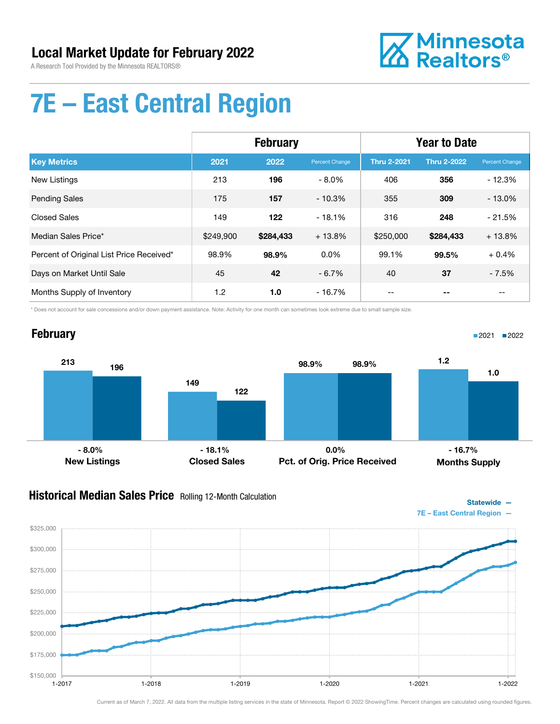

Statewide —

■2021 2022

# 7E – East Central Region

|                                          | <b>February</b> |           |                | <b>Year to Date</b> |                    |                |
|------------------------------------------|-----------------|-----------|----------------|---------------------|--------------------|----------------|
| <b>Key Metrics</b>                       | 2021            | 2022      | Percent Change | <b>Thru 2-2021</b>  | <b>Thru 2-2022</b> | Percent Change |
| New Listings                             | 213             | 196       | $-8.0\%$       | 406                 | 356                | $-12.3%$       |
| <b>Pending Sales</b>                     | 175             | 157       | $-10.3%$       | 355                 | 309                | $-13.0%$       |
| <b>Closed Sales</b>                      | 149             | 122       | $-18.1%$       | 316                 | 248                | $-21.5%$       |
| Median Sales Price*                      | \$249,900       | \$284,433 | $+13.8%$       | \$250,000           | \$284,433          | $+13.8%$       |
| Percent of Original List Price Received* | 98.9%           | 98.9%     | $0.0\%$        | 99.1%               | 99.5%              | $+0.4%$        |
| Days on Market Until Sale                | 45              | 42        | $-6.7%$        | 40                  | 37                 | $-7.5%$        |
| Months Supply of Inventory               | 1.2             | 1.0       | $-16.7\%$      |                     |                    | $-$            |

\* Does not account for sale concessions and/or down payment assistance. Note: Activity for one month can sometimes look extreme due to small sample size.

### **February**



#### **Historical Median Sales Price** Rolling 12-Month Calculation

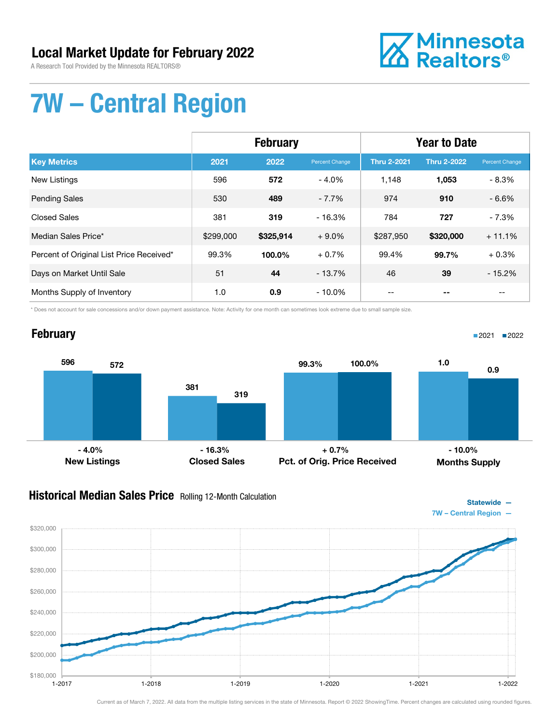A Research Tool Provided by the Minnesota REALTORS®



Statewide —

■2021 2022

# 7W – Central Region

|                                          | <b>February</b> |           |                | <b>Year to Date</b> |                    |                |
|------------------------------------------|-----------------|-----------|----------------|---------------------|--------------------|----------------|
| <b>Key Metrics</b>                       | 2021            | 2022      | Percent Change | <b>Thru 2-2021</b>  | <b>Thru 2-2022</b> | Percent Change |
| <b>New Listings</b>                      | 596             | 572       | $-4.0%$        | 1.148               | 1,053              | $-8.3%$        |
| <b>Pending Sales</b>                     | 530             | 489       | $-7.7%$        | 974                 | 910                | $-6.6%$        |
| <b>Closed Sales</b>                      | 381             | 319       | $-16.3%$       | 784                 | 727                | $-7.3%$        |
| Median Sales Price*                      | \$299,000       | \$325,914 | $+9.0\%$       | \$287,950           | \$320,000          | $+11.1%$       |
| Percent of Original List Price Received* | 99.3%           | 100.0%    | $+0.7%$        | 99.4%               | 99.7%              | $+0.3%$        |
| Days on Market Until Sale                | 51              | 44        | $-13.7%$       | 46                  | 39                 | $-15.2%$       |
| Months Supply of Inventory               | 1.0             | 0.9       | $-10.0\%$      |                     |                    |                |

\* Does not account for sale concessions and/or down payment assistance. Note: Activity for one month can sometimes look extreme due to small sample size.

### **February**

596 381 572 319 New Listings Closed Sales 99.3% 100.0% Pct. of Orig. Price Received 1.0 0.9 Months Supply - 4.0% - 16.3% + 0.7% - 10.0%

#### **Historical Median Sales Price** Rolling 12-Month Calculation

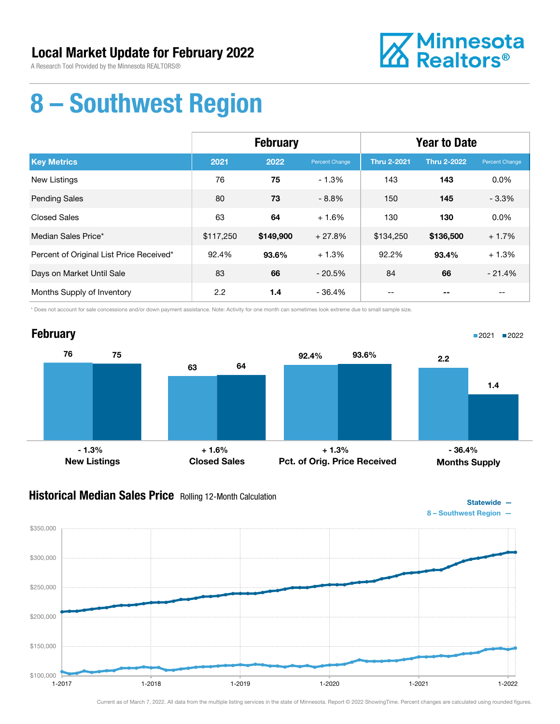A Research Tool Provided by the Minnesota REALTORS®



# 8 – Southwest Region

|                                          | <b>February</b> |           |                | <b>Year to Date</b> |                    |                   |
|------------------------------------------|-----------------|-----------|----------------|---------------------|--------------------|-------------------|
| <b>Key Metrics</b>                       | 2021            | 2022      | Percent Change | <b>Thru 2-2021</b>  | <b>Thru 2-2022</b> | Percent Change    |
| New Listings                             | 76              | 75        | $-1.3%$        | 143                 | 143                | 0.0%              |
| <b>Pending Sales</b>                     | 80              | 73        | $-8.8%$        | 150                 | 145                | $-3.3%$           |
| Closed Sales                             | 63              | 64        | $+1.6%$        | 130                 | 130                | 0.0%              |
| Median Sales Price*                      | \$117,250       | \$149,900 | $+27.8%$       | \$134,250           | \$136,500          | $+1.7%$           |
| Percent of Original List Price Received* | 92.4%           | 93.6%     | $+1.3%$        | 92.2%               | 93.4%              | $+1.3%$           |
| Days on Market Until Sale                | 83              | 66        | $-20.5%$       | 84                  | 66                 | $-21.4%$          |
| Months Supply of Inventory               | 2.2             | 1.4       | - 36.4%        | $- -$               | --                 | $\qquad \qquad -$ |

\* Does not account for sale concessions and/or down payment assistance. Note: Activity for one month can sometimes look extreme due to small sample size.



### **Historical Median Sales Price** Rolling 12-Month Calculation



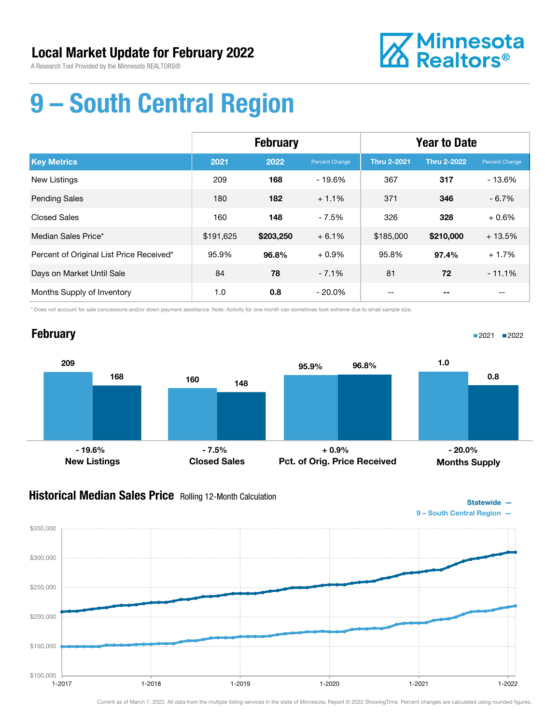

# 9 – South Central Region

|                                          | <b>February</b> |           |                | <b>Year to Date</b> |                    |                |
|------------------------------------------|-----------------|-----------|----------------|---------------------|--------------------|----------------|
| <b>Key Metrics</b>                       | 2021            | 2022      | Percent Change | <b>Thru 2-2021</b>  | <b>Thru 2-2022</b> | Percent Change |
| <b>New Listings</b>                      | 209             | 168       | $-19.6%$       | 367                 | 317                | $-13.6%$       |
| <b>Pending Sales</b>                     | 180             | 182       | $+1.1%$        | 371                 | 346                | $-6.7%$        |
| <b>Closed Sales</b>                      | 160             | 148       | $-7.5%$        | 326                 | 328                | $+0.6%$        |
| Median Sales Price*                      | \$191,625       | \$203,250 | $+6.1%$        | \$185,000           | \$210,000          | $+13.5%$       |
| Percent of Original List Price Received* | 95.9%           | 96.8%     | $+0.9%$        | 95.8%               | 97.4%              | $+1.7%$        |
| Days on Market Until Sale                | 84              | 78        | $-7.1%$        | 81                  | 72                 | $-11.1%$       |
| Months Supply of Inventory               | 1.0             | 0.8       | $-20.0\%$      |                     |                    | $-$            |

\* Does not account for sale concessions and/or down payment assistance. Note: Activity for one month can sometimes look extreme due to small sample size.

### **February**

209 168 160 148 New Listings Closed Sales 95.9% 96.8% Pct. of Orig. Price Received 1.0 0.8 Months Supply - 19.6% - 7.5% + 0.9% - 20.0%

#### **Historical Median Sales Price** Rolling 12-Month Calculation



■2021 ■2022

Statewide —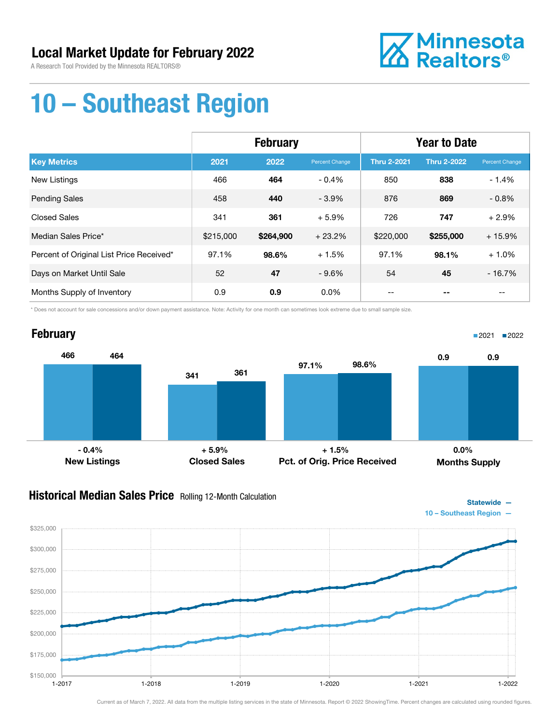

# 10 – Southeast Region

|                                          | <b>February</b> |           |                | <b>Year to Date</b> |                    |                |
|------------------------------------------|-----------------|-----------|----------------|---------------------|--------------------|----------------|
| <b>Key Metrics</b>                       | 2021            | 2022      | Percent Change | <b>Thru 2-2021</b>  | <b>Thru 2-2022</b> | Percent Change |
| New Listings                             | 466             | 464       | $-0.4%$        | 850                 | 838                | $-1.4%$        |
| <b>Pending Sales</b>                     | 458             | 440       | $-3.9%$        | 876                 | 869                | $-0.8%$        |
| <b>Closed Sales</b>                      | 341             | 361       | $+5.9%$        | 726                 | 747                | $+2.9%$        |
| Median Sales Price*                      | \$215,000       | \$264,900 | $+23.2%$       | \$220,000           | \$255,000          | $+15.9%$       |
| Percent of Original List Price Received* | 97.1%           | 98.6%     | $+1.5%$        | 97.1%               | 98.1%              | $+1.0%$        |
| Days on Market Until Sale                | 52              | 47        | $-9.6%$        | 54                  | 45                 | $-16.7%$       |
| Months Supply of Inventory               | 0.9             | 0.9       | $0.0\%$        | --                  |                    | $- -$          |

\* Does not account for sale concessions and/or down payment assistance. Note: Activity for one month can sometimes look extreme due to small sample size.



### Historical Median Sales Price Rolling 12-Month Calculation